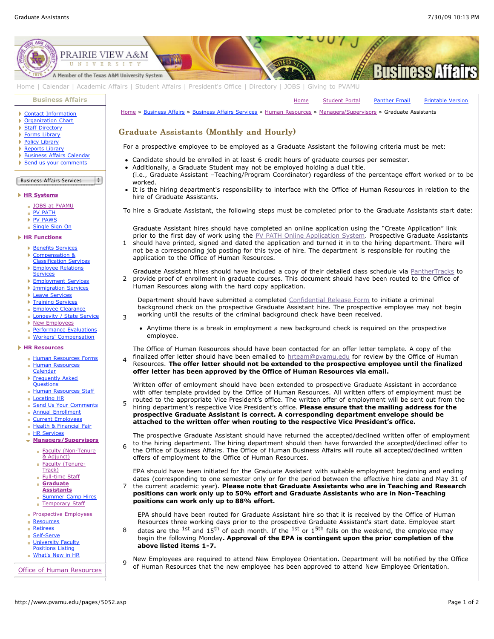[Home](http://www.pvamu.edu/pages/1.asp) [Student Portal](http://panthertracks.pvamu.edu/) [Panther Email](http://www.pvamu.edu/pages/1740.asp) [Printable Version](http://www.pvamu.edu/print/5052.asp)



[Home](http://www.pvamu.edu/pages/1.asp) | [Calendar](http://www.pvamu.edu/pages/222.asp) | [Academic Affairs](http://www.pvamu.edu/pages/116.asp) | [Student Affairs](http://www.pvamu.edu/pages/1441.asp) | [President's Office](http://www.pvamu.edu/pages/117.asp) | [Directory](http://www.pvamu.edu/pages/225.asp) | [JOBS](http://www.pvamu.edu/pages/118.asp) | [Giving to PVAMU](http://www.pvamu.edu/giving)

### **[Business Affairs](http://www.pvamu.edu/pages/102.asp)**

- [Contact Information](http://www.pvamu.edu/pages/527.asp)
- **[Organization Chart](http://www.pvamu.edu/pages/528.asp)**
- **[Staff Directory](http://www.pvamu.edu/pages/529.asp)**
- ▶ [Forms Library](http://www.pvamu.edu/pages/531.asp)
- ▶ [Policy Library](http://www.pvamu.edu/pages/532.asp)
- ▶ [Reports Library](http://www.pvamu.edu/pages/533.asp)
- **[Business Affairs Calendar](http://www.pvamu.edu/pages/534.asp)**
- [Send us your comments](http://www.pvamu.edu/pages/535.asp)

### Business Affairs Services l ÷

### **[HR Systems](http://www.pvamu.edu/pages/555.asp)**

- **[JOBS at PVAMU](http://www.pvamu.edu/pages/118.asp)**
- **[PV PATH](http://www.pvamu.edu/pages/1996.asp)**
- ▶ [PV PAWS](http://www.pvamu.edu/pages/1997.asp) [Single Sign On](http://www.pvamu.edu/pages/684.asp)

- **[HR Functions](http://www.pvamu.edu/pages/555.asp)**
	- **[Benefits Services](http://www.pvamu.edu/pages/685.asp)**
	- Þ Compensation &
	- [Classification Services](http://www.pvamu.edu/pages/689.asp)
	- [Employee Relations](http://www.pvamu.edu/pages/690.asp) **Services**
	- K [Employment Services](http://www.pvamu.edu/pages/676.asp)
	- [Immigration Services](http://www.pvamu.edu/pages/694.asp)
	- **[Leave Services](http://www.pvamu.edu/pages/687.asp)**
	- **[Training Services](http://www.pvamu.edu/pages/693.asp)**
	- **[Employee Clearance](http://www.pvamu.edu/pages/3032.asp)**

3

4

8

- [Longevity / State Service](http://www.pvamu.edu/pages/3578.asp)
- ▶ [New Employees](http://www.pvamu.edu/pages/1998.asp)
- [Performance Evaluations](http://www.pvamu.edu/pages/3943.asp)
- **[Workers' Compensation](http://www.pvamu.edu/pages/2016.asp)**

## **[HR Resources](http://www.pvamu.edu/pages/555.asp)**

- [Human Resources Forms](http://www.pvamu.edu/pages/696.asp)
- **[Human Resources](http://www.pvamu.edu/pages/2000.asp)** Calendar
- **[Frequently Asked](http://www.pvamu.edu/pages/680.asp) Questions**
- **[Human Resources Staff](http://www.pvamu.edu/pages/675.asp)**
- [Locating HR](http://www.pvamu.edu/pages/681.asp)
- [Send Us Your Comments](http://www.pvamu.edu/pages/1829.asp)
- **[Annual Enrollment](http://www.pvamu.edu/pages/5696.asp)**
- [Current Employees](http://www.pvamu.edu/pages/4707.asp)
- [Health & Financial Fair](http://www.pvamu.edu/pages/5122.asp)
- **[HR Services](http://www.pvamu.edu/pages/5322.asp)**

### **[Managers/Supervisors](http://www.pvamu.edu/pages/3942.asp)**

- [Faculty \(Non-Tenure](http://www.pvamu.edu/pages/5051.asp) & Adjunct)
- [Faculty \(Tenure](http://www.pvamu.edu/pages/5049.asp)i. Track)
- [Full-time Staff](http://www.pvamu.edu/pages/5048.asp) ċ
- **Graduate**
- **[Assistants](http://www.pvamu.edu/pages/5052.asp)**
- **[Summer Camp Hires](http://www.pvamu.edu/pages/5588.asp)**
- [Temporary Staff](http://www.pvamu.edu/pages/5050.asp)
- **[Prospective Employees](http://www.pvamu.edu/pages/4724.asp)**
- **[Resources](http://www.pvamu.edu/pages/5324.asp)**
- **[Retirees](http://www.pvamu.edu/pages/4735.asp)**
- [Self-Serve](http://www.pvamu.edu/pages/5323.asp)
- **[University Faculty](http://www.pvamu.edu/pages/3397.asp)**
- Positions Listing
- **[What's New in HR](http://www.pvamu.edu/pages/5201.asp)**

[Office of Human Resources](http://www.pvamu.edu/pages/555.asp)

[Home](http://www.pvamu.edu/pages/1.asp) » [Business Affairs](http://www.pvamu.edu/pages/102.asp) » [Business Affairs Services](http://www.pvamu.edu/pages/530.asp) » [Human Resources](http://www.pvamu.edu/pages/555.asp) » [Managers/Supervisors](http://www.pvamu.edu/pages/3942.asp) » Graduate Assistants

# Graduate Assistants (Monthly and Hourly)

For a prospective employee to be employed as a Graduate Assistant the following criteria must be met:

- Candidate should be enrolled in at least 6 credit hours of graduate courses per semester.
- Additionally, a Graduate Student may not be employed holding a dual title.
- (i.e., Graduate Assistant –Teaching/Program Coordinator) regardless of the percentage effort worked or to be worked.
- It is the hiring department's responsibility to interface with the Office of Human Resources in relation to the hire of Graduate Assistants.

To hire a Graduate Assistant, the following steps must be completed prior to the Graduate Assistants start date:

1 Graduate Assistant hires should have completed an online application using the "Create Application" link prior to the first day of work using the [PV PATH Online Application System](https://jobs.pvamu.edu/). Prospective Graduate Assistants should have printed, signed and dated the application and turned it in to the hiring department. There will not be a corresponding job posting for this type of hire. The department is responsible for routing the application to the Office of Human Resources.

2 Graduate Assistant hires should have included a copy of their detailed class schedule via [PantherTracks](http://panthertracks.pvamu.edu/) to provide proof of enrollment in graduate courses. This document should have been routed to the Office of Human Resources along with the hard copy application.

Department should have submitted a completed [Confidential Release Form](http://www.pvamu.edu/files/human_resources/docs/Background%20Check.pdf) to initiate a criminal background check on the prospective Graduate Assistant hire. The prospective employee may not begin working until the results of the criminal background check have been received.

Anytime there is a break in employment a new background check is required on the prospective employee.

The Office of Human Resources should have been contacted for an offer letter template. A copy of the finalized offer letter should have been emailed to [hrteam@pvamu.edu](mailto:hrteam@pvamu.edu?subject=Offer%20Letters) for review by the Office of Human Resources. **The offer letter should not be extended to the prospective employee until the finalized offer letter has been approved by the Office of Human Resources via email.**

Written offer of emloyment should have been extended to prospective Graduate Assistant in accordance with offer template provided by the Office of Human Resources. All written offers of employment must be routed to the appropriate Vice President's office. The written offer of employment will be sent out from the

5 hiring department's respective Vice President's office. **Please ensure that the mailing address for the prospective Graduate Assistant is correct. A corresponding department envelope should be attached to the written offer when routing to the respective Vice President's office.**

6 The prospective Graduate Assistant should have returned the accepted/declined written offer of employment to the hiring department. The hiring department should then have forwarded the accepted/declined offer to the Office of Business Affairs. The Office of Human Business Affairs will route all accepted/declined written offers of employment to the Office of Human Resources.

7 EPA should have been initiated for the Graduate Assistant with suitable employment beginning and ending dates (corresponding to one semester only or for the period between the effective hire date and May 31 of the current academic year). **Please note that Graduate Assistants who are in Teaching and Research positions can work only up to 50% effort and Graduate Assistants who are in Non-Teaching positions can work only up to 88% effort.**

EPA should have been routed for Graduate Assistant hire so that it is received by the Office of Human Resources three working days prior to the prospective Graduate Assistant's start date. Employee start dates are the <sup>1st</sup> and 15<sup>th</sup> of each month. If the <sup>1st</sup> or 1<sup>5th</sup> falls on the weekend, the employee may begin the following Monday**. Approval of the EPA is contingent upon the prior completion of the above listed items 1-7.**

 $_{\text{o}}$  New Employees are required to attend New Employee Orientation. Department will be notified by the Office of Human Resources that the new employee has been approved to attend New Employee Orientation.